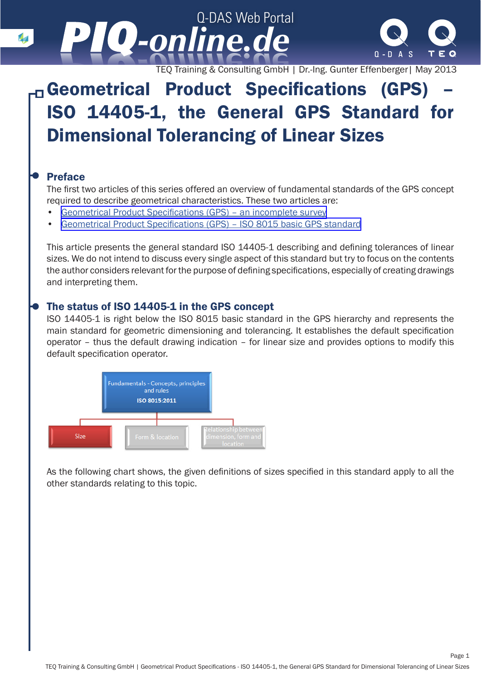

TEQ Training & Consulting GmbH | Dr.-Ing. Gunter Effenberger| May 2013

### Geometrical Product Specifications (GPS) – ISO 14405-1, the General GPS Standard for Dimensional Tolerancing of Linear Sizes

#### Preface

The first two articles of this series offered an overview of fundamental standards of the GPS concept required to describe geometrical characteristics. These two articles are:

- [Geometrical Product Specifications \(GPS\) an incomplete survey](http://www.piq-online.de/en/articlepage/piq-entry/89-geometrische-produktspezifikation-gps-eine-unvolls/piq-category/3-werkzeuge-und-methoden/?tx_vierwdqdaspiq_piqentry[action]=show&cHash=aeb5224e7c1911e28d76774606329bc6)
- [Geometrical Product Specifications \(GPS\) ISO 8015 basic GPS standard](http://www.piq-online.de/en/articlepage/piq-entry/192-geometrical-product-specifications-gps-iso-8015-ba/?tx_vierwdqdaspiq_piqentry[action]=show&cHash=06a1efdd274aebdee69ca8d4acc6d635)

This article presents the general standard ISO 14405-1 describing and defining tolerances of linear sizes. We do not intend to discuss every single aspect of this standard but try to focus on the contents the author considers relevant for the purpose of defining specifications, especially of creating drawings and interpreting them.

#### The status of ISO 14405-1 in the GPS concept

ISO 14405-1 is right below the ISO 8015 basic standard in the GPS hierarchy and represents the main standard for geometric dimensioning and tolerancing. It establishes the default specification operator – thus the default drawing indication – for linear size and provides options to modify this default specification operator.



As the following chart shows, the given definitions of sizes specified in this standard apply to all the other standards relating to this topic.

Page 1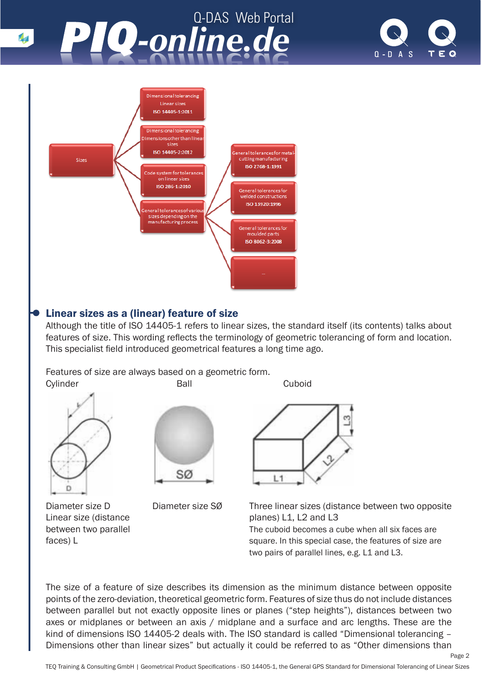



### Linear sizes as a (linear) feature of size

Although the title of ISO 14405-1 refers to linear sizes, the standard itself (its contents) talks about features of size. This wording reflects the terminology of geometric tolerancing of form and location. This specialist field introduced geometrical features a long time ago.

Features of size are always based on a geometric form. Cylinder Ball Cuboid







Diameter size D Diameter size SØ Three linear sizes (distance between two opposite Linear size (distance planes) L1, L2 and L3 between two parallel **The cuboid becomes a cube when all six faces are** faces) L square. In this special case, the features of size are two pairs of parallel lines, e.g. L1 and L3.

Page 2

The size of a feature of size describes its dimension as the minimum distance between opposite points of the zero-deviation, theoretical geometric form. Features of size thus do not include distances between parallel but not exactly opposite lines or planes ("step heights"), distances between two axes or midplanes or between an axis / midplane and a surface and arc lengths. These are the kind of dimensions ISO 14405-2 deals with. The ISO standard is called "Dimensional tolerancing -Dimensions other than linear sizes" but actually it could be referred to as "Other dimensions than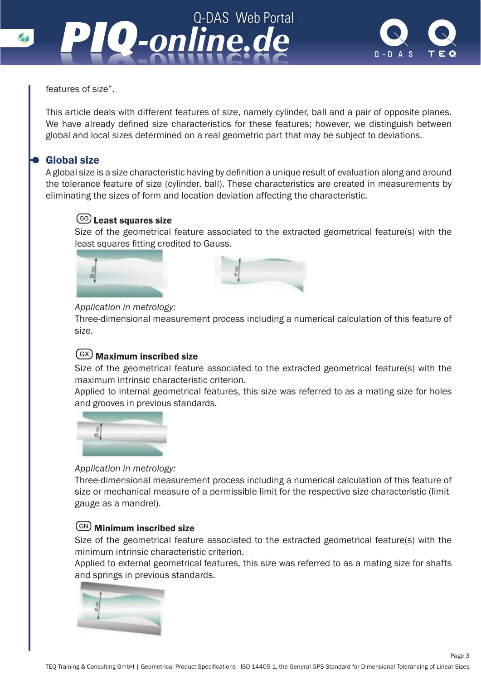



features of size".

This article deals with different features of size, namely cylinder, ball and a pair of opposite planes. We have already defined size characteristics for these features; however, we distinguish between global and local sizes determined on a real geometric part that may be subject to deviations.

#### Global size

A global size is a size characteristic having by definition a unique result of evaluation along and around the tolerance feature of size (cylinder, ball). These characteristics are created in measurements by eliminating the sizes of form and location deviation affecting the characteristic.

#### <sup>GG</sup> Least squares size

Size of the geometrical feature associated to the extracted geometrical feature(s) with the least squares fitting credited to Gauss.





#### *Application in metrology:*

Three-dimensional measurement process including a numerical calculation of this feature of size.

#### Maximum inscribed size

Size of the geometrical feature associated to the extracted geometrical feature(s) with the maximum intrinsic characteristic criterion.

Applied to internal geometrical features, this size was referred to as a mating size for holes and grooves in previous standards.



#### *Application in metrology:*

Three-dimensional measurement process including a numerical calculation of this feature of size or mechanical measure of a permissible limit for the respective size characteristic (limit gauge as a mandrel).

#### **GN** Minimum inscribed size

Size of the geometrical feature associated to the extracted geometrical feature(s) with the minimum intrinsic characteristic criterion.

Applied to external geometrical features, this size was referred to as a mating size for shafts and springs in previous standards.

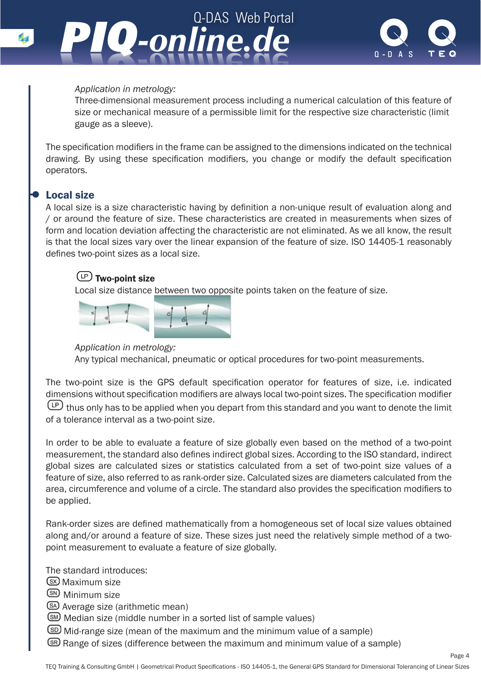



#### *Application in metrology:*

Three-dimensional measurement process including a numerical calculation of this feature of size or mechanical measure of a permissible limit for the respective size characteristic (limit gauge as a sleeve).

The specification modifiers in the frame can be assigned to the dimensions indicated on the technical drawing. By using these specification modifiers, you change or modify the default specification operators.

#### Local size

A local size is a size characteristic having by definition a non-unique result of evaluation along and / or around the feature of size. These characteristics are created in measurements when sizes of form and location deviation affecting the characteristic are not eliminated. As we all know, the result is that the local sizes vary over the linear expansion of the feature of size. ISO 14405-1 reasonably defines two-point sizes as a local size.

#### $\circled{1}$  Two-point size

Local size distance between two opposite points taken on the feature of size.



*Application in metrology:*

Any typical mechanical, pneumatic or optical procedures for two-point measurements.

The two-point size is the GPS default specification operator for features of size, i.e. indicated dimensions without specification modifiers are always local two-point sizes. The specification modifier thus only has to be applied when you depart from this standard and you want to denote the limit of a tolerance interval as a two-point size.

In order to be able to evaluate a feature of size globally even based on the method of a two-point measurement, the standard also defines indirect global sizes. According to the ISO standard, indirect global sizes are calculated sizes or statistics calculated from a set of two-point size values of a feature of size, also referred to as rank-order size. Calculated sizes are diameters calculated from the area, circumference and volume of a circle. The standard also provides the specification modifiers to be applied.

Rank-order sizes are defined mathematically from a homogeneous set of local size values obtained along and/or around a feature of size. These sizes just need the relatively simple method of a twopoint measurement to evaluate a feature of size globally.

The standard introduces:

(SX) Maximum size

S<sup>SN</sup> Minimum size

Average size (arithmetic mean)

Median size (middle number in a sorted list of sample values)

- Mid-range size (mean of the maximum and the minimum value of a sample)
- Range of sizes (difference between the maximum and minimum value of a sample)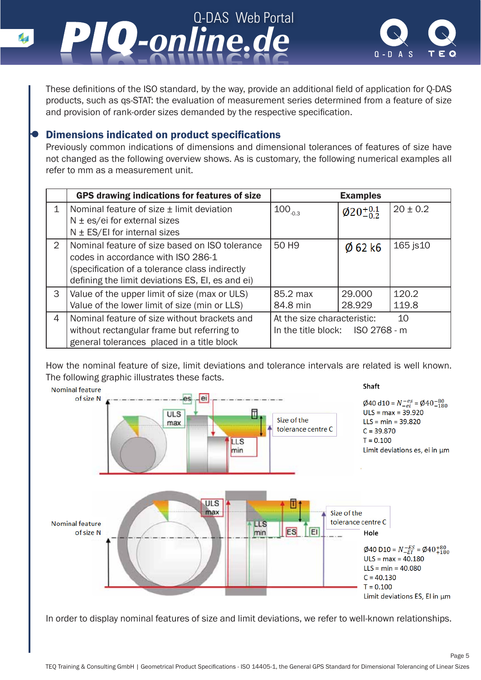



Page 5

These definitions of the ISO standard, by the way, provide an additional field of application for Q-DAS products, such as qs-STAT: the evaluation of measurement series determined from a feature of size and provision of rank-order sizes demanded by the respective specification.

#### Dimensions indicated on product specifications

Previously common indications of dimensions and dimensional tolerances of features of size have not changed as the following overview shows. As is customary, the following numerical examples all refer to mm as a measurement unit.

|   | <b>GPS drawing indications for features of size</b> |                                   | <b>Examples</b>           |              |
|---|-----------------------------------------------------|-----------------------------------|---------------------------|--------------|
| 1 | Nominal feature of size ± limit deviation           | $100_{.0.3}$                      | $\phi$ 20 <sup>+0.1</sup> | $20 \pm 0.2$ |
|   | $N \pm \text{es/ei}$ for external sizes             |                                   |                           |              |
|   | $N \pm ES/EI$ for internal sizes                    |                                   |                           |              |
| 2 | Nominal feature of size based on ISO tolerance      | 50 H <sub>9</sub>                 | $\varnothing$ 62 k6       | 165 js10     |
|   | codes in accordance with ISO 286-1                  |                                   |                           |              |
|   | (specification of a tolerance class indirectly      |                                   |                           |              |
|   | defining the limit deviations ES, EI, es and ei)    |                                   |                           |              |
| 3 | Value of the upper limit of size (max or ULS)       | 85.2 max                          | 29,000                    | 120.2        |
|   | Value of the lower limit of size (min or LLS)       | 84.8 min                          | 28.929                    | 119.8        |
| 4 | Nominal feature of size without brackets and        | 10<br>At the size characteristic: |                           |              |
|   | without rectangular frame but referring to          | In the title block: ISO 2768 - m  |                           |              |
|   | general tolerances placed in a title block          |                                   |                           |              |

How the nominal feature of size, limit deviations and tolerance intervals are related is well known. The following graphic illustrates these facts.



In order to display nominal features of size and limit deviations, we refer to well-known relationships.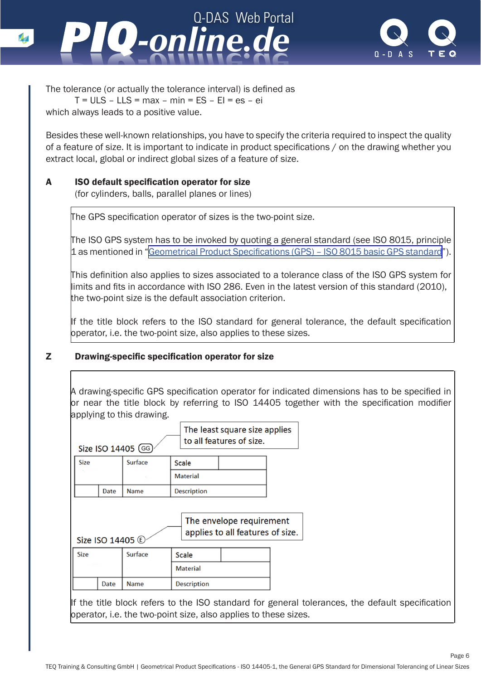



Page 6

The tolerance (or actually the tolerance interval) is defined as  $T = ULS - LLS = max - min = ES - El = es - ei$ which always leads to a positive value.

Besides these well-known relationships, you have to specify the criteria required to inspect the quality of a feature of size. It is important to indicate in product specifications / on the drawing whether you extract local, global or indirect global sizes of a feature of size.

#### A ISO default specification operator for size

(for cylinders, balls, parallel planes or lines)

The GPS specification operator of sizes is the two-point size.

The ISO GPS system has to be invoked by quoting a general standard (see ISO 8015, principle 1 as mentioned in "[Geometrical Product Specifications \(GPS\) – ISO 8015 basic GPS standard](http://www.piq-online.de/en/articlepage/piq-entry/81-geometrische-produktspezifikation-gps-die-gps-grun/piq-category/3-werkzeuge-und-methoden/?tx_vierwdqdaspiq_piqentry[action]=show&cHash=66c2cc760edc2effd041bf2e85118003)").

This definition also applies to sizes associated to a tolerance class of the ISO GPS system for limits and fits in accordance with ISO 286. Even in the latest version of this standard (2010), the two-point size is the default association criterion.

If the title block refers to the ISO standard for general tolerance, the default specification bperator, i.e. the two-point size, also applies to these sizes.

#### Z Drawing-specific specification operator for size

A drawing-specific GPS specification operator for indicated dimensions has to be specified in or near the title block by referring to ISO 14405 together with the specification modifier applying to this drawing.

| The least square size applies<br>to all features of size.<br>Size ISO 14405 (GG) |      |                |                    |  |  |  |
|----------------------------------------------------------------------------------|------|----------------|--------------------|--|--|--|
| <b>Size</b>                                                                      |      | <b>Surface</b> | <b>Scale</b>       |  |  |  |
|                                                                                  |      |                | <b>Material</b>    |  |  |  |
|                                                                                  | Date | <b>Name</b>    | <b>Description</b> |  |  |  |
| The envelope requirement<br>applies to all features of size.<br>Size ISO 14405 C |      |                |                    |  |  |  |
|                                                                                  |      |                |                    |  |  |  |
| <b>Size</b>                                                                      |      | <b>Surface</b> | <b>Scale</b>       |  |  |  |
|                                                                                  |      |                | <b>Material</b>    |  |  |  |

If the title block refers to the ISO standard for general tolerances, the default specification operator, i.e. the two-point size, also applies to these sizes.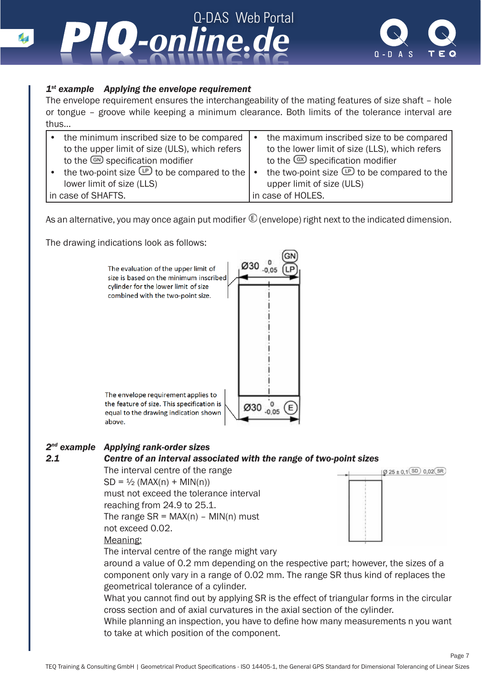

#### *1st example Applying the envelope requirement*

The envelope requirement ensures the interchangeability of the mating features of size shaft – hole or tongue – groove while keeping a minimum clearance. Both limits of the tolerance interval are thus…

|                    | the minimum inscribed size to be compared                            | $\bullet$ | the maximum inscribed size to be compared             |
|--------------------|----------------------------------------------------------------------|-----------|-------------------------------------------------------|
|                    | to the upper limit of size (ULS), which refers                       |           | to the lower limit of size (LLS), which refers        |
|                    | to the <sup>60</sup> specification modifier                          |           | to the $\circledR$ specification modifier             |
|                    | the two-point size $\mathbb{P}$ to be compared to the $\mathsf{I}$ . |           | the two-point size $\mathbb{P}$ to be compared to the |
|                    | lower limit of size (LLS)                                            |           | upper limit of size (ULS)                             |
| in case of SHAFTS. |                                                                      |           | in case of HOLES.                                     |

As an alternative, you may once again put modifier  $\mathbb G$  (envelope) right next to the indicated dimension.

The drawing indications look as follows:



#### *2nd example Applying rank-order sizes*

#### *2.1 Centre of an interval associated with the range of two-point sizes*

The interval centre of the range  $SD = 1/2 (MAX(n) + MIN(n))$ must not exceed the tolerance interval reaching from 24.9 to 25.1. The range  $SR = MAX(n) - MIN(n)$  must not exceed 0.02.

#### Meaning:

The interval centre of the range might vary



Page 7

around a value of 0.2 mm depending on the respective part; however, the sizes of a component only vary in a range of 0.02 mm. The range SR thus kind of replaces the geometrical tolerance of a cylinder.

What you cannot find out by applying SR is the effect of triangular forms in the circular cross section and of axial curvatures in the axial section of the cylinder.

While planning an inspection, you have to define how many measurements n you want to take at which position of the component.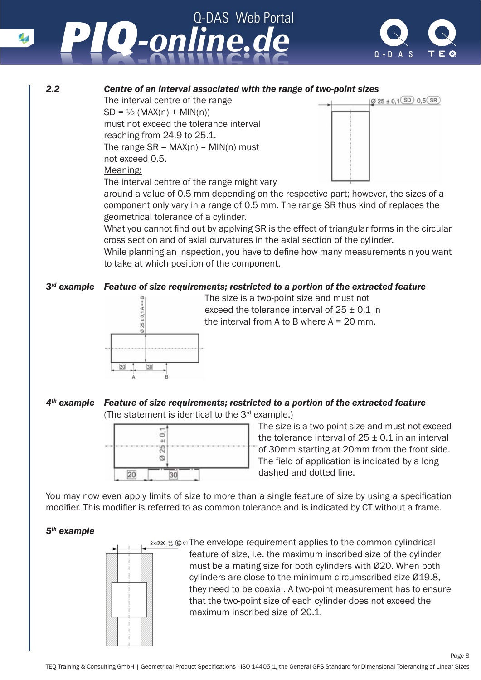

### **2.2** *2.2* **Centre of an interval associated with the range of two-point sizes<br>The interval centre of the range <b>1998 1998 1998 1998 1998 1998 1999 1999 1999 1999 1999 1999 1999 1999 1999 19**

The interval centre of the range  $SD = \frac{1}{2} (MAX(n) + MIN(n))$ must not exceed the tolerance interval reaching from 24.9 to 25.1. The range  $SR = MAX(n) - MIN(n)$  must not exceed 0.5.

#### Meaning:

The interval centre of the range might vary



around a value of 0.5 mm depending on the respective part; however, the sizes of a component only vary in a range of 0.5 mm. The range SR thus kind of replaces the geometrical tolerance of a cylinder.

What you cannot find out by applying SR is the effect of triangular forms in the circular cross section and of axial curvatures in the axial section of the cylinder.

While planning an inspection, you have to define how many measurements n you want to take at which position of the component.

#### *3rd example Feature of size requirements; restricted to a portion of the extracted feature*



The size is a two-point size and must not<br>exceed the tolerance interval of  $25 \pm 0.1$ <br>the interval from A to B where A = 20 mm exceed the tolerance interval of  $25 \pm 0.1$  in the interval from A to B where  $A = 20$  mm.

#### *4th example Feature of size requirements; restricted to a portion of the extracted feature* (The statement is identical to the 3rd example.)



The size is a two-point size and must not exceed<br>the telerance interval of  $25 + 0.1$  in an interval the tolerance interval of  $25 \pm 0.1$  in an interval<br> $\frac{9}{10}$  of 30mm starting at 20mm from the front side of 30mm starting at 20mm from the front side. The field of application is indicated by a long dashed and dotted line.

Page 8

You may now even apply limits of size to more than a single feature of size by using a specification modifier. This modifier is referred to as common tolerance and is indicated by CT without a frame.

#### *5th example*



 $2 \times 820$   $\frac{43}{22}$   $\bigoplus$  cThe envelope requirement applies to the common cylindrical feature of size, i.e. the maximum inscribed size of the cylinder must be a mating size for both cylinders with Ø20. When both cylinders are close to the minimum circumscribed size Ø19.8, they need to be coaxial. A two-point measurement has to ensure that the two-point size of each cylinder does not exceed the maximum inscribed size of 20.1.